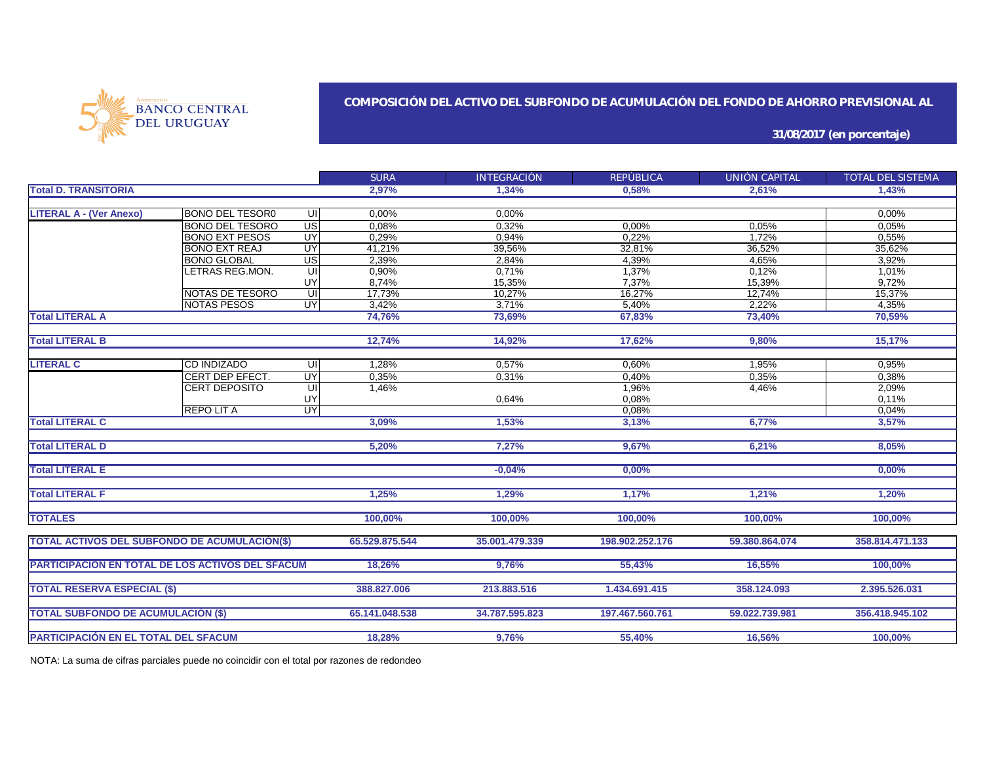

### **COMPOSICIÓN DEL ACTIVO DEL SUBFONDO DE ACUMULACIÓN DEL FONDO DE AHORRO PREVISIONAL AL**

**31/08/2017 (en porcentaje)**

|                                                         |                        |                         | <b>SURA</b>    | <b>INTEGRACIÓN</b> | REPÚBLICA       | UNIÓN CAPITAL  | TOTAL DEL SISTEMA |
|---------------------------------------------------------|------------------------|-------------------------|----------------|--------------------|-----------------|----------------|-------------------|
| <b>Total D. TRANSITORIA</b>                             |                        |                         | 2,97%          | 1,34%              | 0.58%           | 2,61%          | 1,43%             |
|                                                         |                        |                         |                |                    |                 |                |                   |
| <b>LITERAL A - (Ver Anexo)</b>                          | <b>BONO DEL TESOR0</b> | UI                      | 0,00%          | 0,00%              |                 |                | 0,00%             |
|                                                         | <b>BONO DEL TESORO</b> | US                      | 0,08%          | 0,32%              | 0,00%           | 0.05%          | 0,05%             |
|                                                         | <b>BONO EXT PESOS</b>  | UY                      | 0,29%          | 0,94%              | 0,22%           | 1,72%          | 0.55%             |
|                                                         | <b>BONO EXT REAJ</b>   | <b>UY</b>               | 41,21%         | 39,56%             | 32,81%          | 36,52%         | 35,62%            |
|                                                         | <b>BONO GLOBAL</b>     | $\overline{US}$         | 2,39%          | 2,84%              | 4,39%           | 4,65%          | 3,92%             |
|                                                         | LETRAS REG.MON.        | $\overline{\mathsf{u}}$ | 0,90%          | 0,71%              | 1,37%           | 0,12%          | 1,01%             |
|                                                         |                        | UY                      | 8,74%          | 15,35%             | 7,37%           | 15,39%         | 9,72%             |
|                                                         | NOTAS DE TESORO        | q                       | 17,73%         | 10,27%             | 16,27%          | 12,74%         | 15,37%            |
|                                                         | <b>NOTAS PESOS</b>     | <b>UY</b>               | 3,42%          | 3,71%              | 5,40%           | 2,22%          | 4,35%             |
| <b>Total LITERAL A</b>                                  |                        |                         | 74,76%         | 73,69%             | 67,83%          | 73,40%         | 70,59%            |
| <b>Total LITERAL B</b>                                  |                        |                         | 12,74%         | 14,92%             | 17,62%          | 9,80%          | 15,17%            |
|                                                         |                        |                         |                |                    |                 |                |                   |
| <b>LITERAL C</b>                                        | <b>CD INDIZADO</b>     | UI                      | 1,28%          | 0,57%              | 0,60%           | 1,95%          | 0,95%             |
|                                                         | CERT DEP EFECT.        | UY                      | 0,35%          | 0,31%              | 0,40%           | 0.35%          | 0,38%             |
|                                                         | CERT DEPOSITO          | UI                      | 1,46%          |                    | 1,96%           | 4,46%          | 2,09%             |
|                                                         |                        | UY                      |                | 0,64%              | 0,08%           |                | 0.11%             |
|                                                         | <b>REPOLITA</b>        | UY                      |                |                    | 0,08%           |                | 0,04%             |
| <b>Total LITERAL C</b>                                  |                        |                         | 3,09%          | 1,53%              | 3,13%           | 6,77%          | 3,57%             |
|                                                         |                        |                         |                |                    |                 |                |                   |
| <b>Total LITERAL D</b>                                  |                        |                         | 5,20%          | 7.27%              | 9,67%           | 6,21%          | 8.05%             |
| <b>Total LITERAL E</b>                                  |                        |                         |                | $-0.04%$           | 0,00%           |                | 0,00%             |
|                                                         |                        |                         |                |                    |                 |                |                   |
| <b>Total LITERAL F</b>                                  |                        |                         | 1.25%          | 1.29%              | 1,17%           | 1.21%          | 1.20%             |
| <b>TOTALES</b>                                          |                        |                         | 100,00%        | 100,00%            | 100,00%         | 100.00%        | 100.00%           |
|                                                         |                        |                         |                |                    |                 |                |                   |
| <b>TOTAL ACTIVOS DEL SUBFONDO DE ACUMULACIÓN(\$)</b>    |                        |                         | 65.529.875.544 | 35.001.479.339     | 198.902.252.176 | 59.380.864.074 | 358.814.471.133   |
| <b>PARTICIPACIÓN EN TOTAL DE LOS ACTIVOS DEL SFACUM</b> |                        |                         | 18,26%         | 9,76%              | 55,43%          | 16,55%         | 100,00%           |
|                                                         |                        |                         |                |                    |                 |                |                   |
| <b>TOTAL RESERVA ESPECIAL (\$)</b>                      |                        |                         | 388,827,006    | 213,883,516        | 1.434.691.415   | 358.124.093    | 2.395.526.031     |
|                                                         |                        |                         |                |                    |                 |                |                   |
| <b>TOTAL SUBFONDO DE ACUMULACIÓN (\$)</b>               |                        |                         | 65.141.048.538 | 34.787.595.823     | 197.467.560.761 | 59.022.739.981 | 356.418.945.102   |
| <b>PARTICIPACIÓN EN EL TOTAL DEL SFACUM</b>             |                        |                         | 18,28%         | 9,76%              | 55,40%          | 16,56%         | 100,00%           |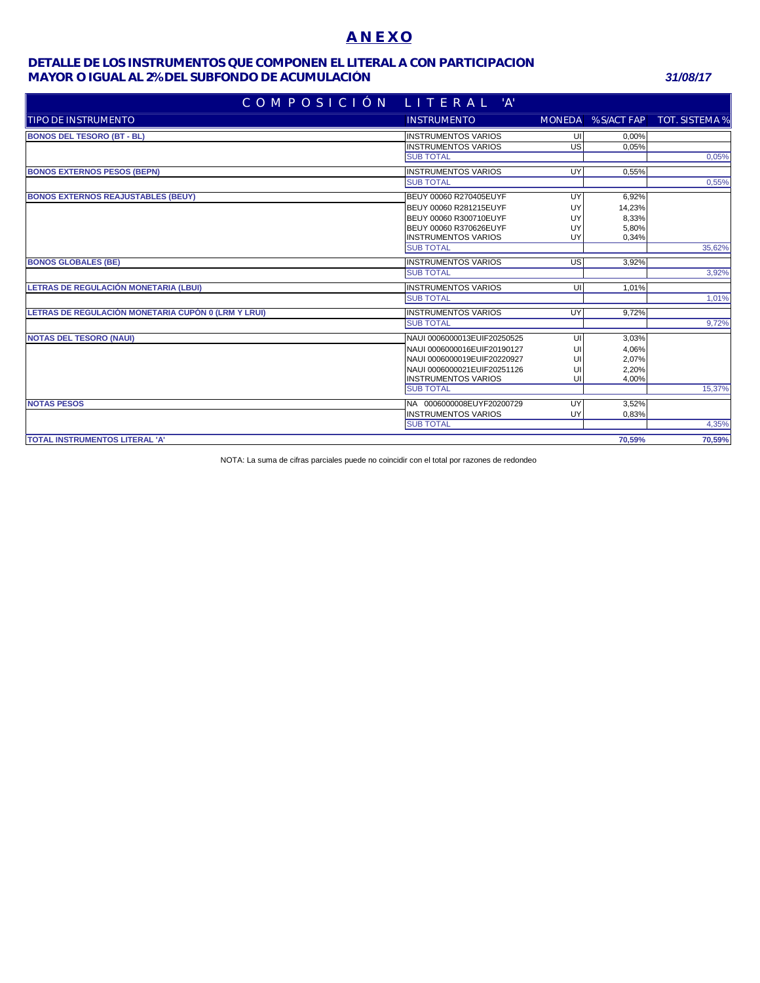## **A N E X O**

### **MAYOR O IGUAL AL 2% DEL SUBFONDO DE ACUMULACIÓN** *31/08/17* **DETALLE DE LOS INSTRUMENTOS QUE COMPONEN EL LITERAL A CON PARTICIPACIÓN**

| COMPOSICIÓN LITE <u>RAL 'A'</u>                     |                             |           |                    |                       |
|-----------------------------------------------------|-----------------------------|-----------|--------------------|-----------------------|
| Itipo de instrumento                                | <b>INSTRUMENTO</b>          |           | MONEDA % S/ACT FAP | <b>TOT. SISTEMA %</b> |
| <b>BONOS DEL TESORO (BT - BL)</b>                   | <b>INSTRUMENTOS VARIOS</b>  | UI        | 0,00%              |                       |
|                                                     | <b>INSTRUMENTOS VARIOS</b>  | US        | 0,05%              |                       |
|                                                     | <b>SUB TOTAL</b>            |           |                    | 0,05%                 |
| <b>BONOS EXTERNOS PESOS (BEPN)</b>                  | <b>INSTRUMENTOS VARIOS</b>  | UY        | 0,55%              |                       |
|                                                     | <b>SUB TOTAL</b>            |           |                    | 0,55%                 |
| <b>BONOS EXTERNOS REAJUSTABLES (BEUY)</b>           | BEUY 00060 R270405EUYF      | UY        | 6,92%              |                       |
|                                                     | BEUY 00060 R281215EUYF      | UY        | 14,23%             |                       |
|                                                     | BEUY 00060 R300710EUYF      | UY        | 8,33%              |                       |
|                                                     | BEUY 00060 R370626EUYF      | UY        | 5,80%              |                       |
|                                                     | <b>INSTRUMENTOS VARIOS</b>  | UY        | 0,34%              |                       |
|                                                     | <b>SUB TOTAL</b>            |           |                    | 35,62%                |
| <b>BONOS GLOBALES (BE)</b>                          | <b>INSTRUMENTOS VARIOS</b>  | <b>US</b> | 3.92%              |                       |
|                                                     | <b>SUB TOTAL</b>            |           |                    | 3,92%                 |
| LETRAS DE REGULACIÓN MONETARIA (LBUI)               | <b>INSTRUMENTOS VARIOS</b>  | UI        | $1,01\%$           |                       |
|                                                     | <b>SUB TOTAL</b>            |           |                    | 1,01%                 |
| LETRAS DE REGULACIÓN MONETARIA CUPÓN 0 (LRM Y LRUI) | <b>INSTRUMENTOS VARIOS</b>  | UY        | 9.72%              |                       |
|                                                     | <b>SUB TOTAL</b>            |           |                    | 9,72%                 |
| <b>NOTAS DEL TESORO (NAUI)</b>                      | NAUI 0006000013EUIF20250525 | UI        | 3,03%              |                       |
|                                                     | NAUI 0006000016EUIF20190127 | UI        | 4,06%              |                       |
|                                                     | NAUI 0006000019EUIF20220927 | UI        | 2,07%              |                       |
|                                                     | NAUI 0006000021EUIF20251126 | UI        | 2,20%              |                       |
|                                                     | <b>INSTRUMENTOS VARIOS</b>  | UI        | 4,00%              |                       |
|                                                     | <b>SUB TOTAL</b>            |           |                    | 15,37%                |
| <b>NOTAS PESOS</b>                                  | NA 0006000008EUYF20200729   | UY        | 3,52%              |                       |
|                                                     | <b>INSTRUMENTOS VARIOS</b>  | UY        | 0,83%              |                       |
|                                                     | <b>SUB TOTAL</b>            |           |                    | 4,35%                 |
| <b>TOTAL INSTRUMENTOS LITERAL 'A'</b>               |                             |           | 70.59%             | 70,59%                |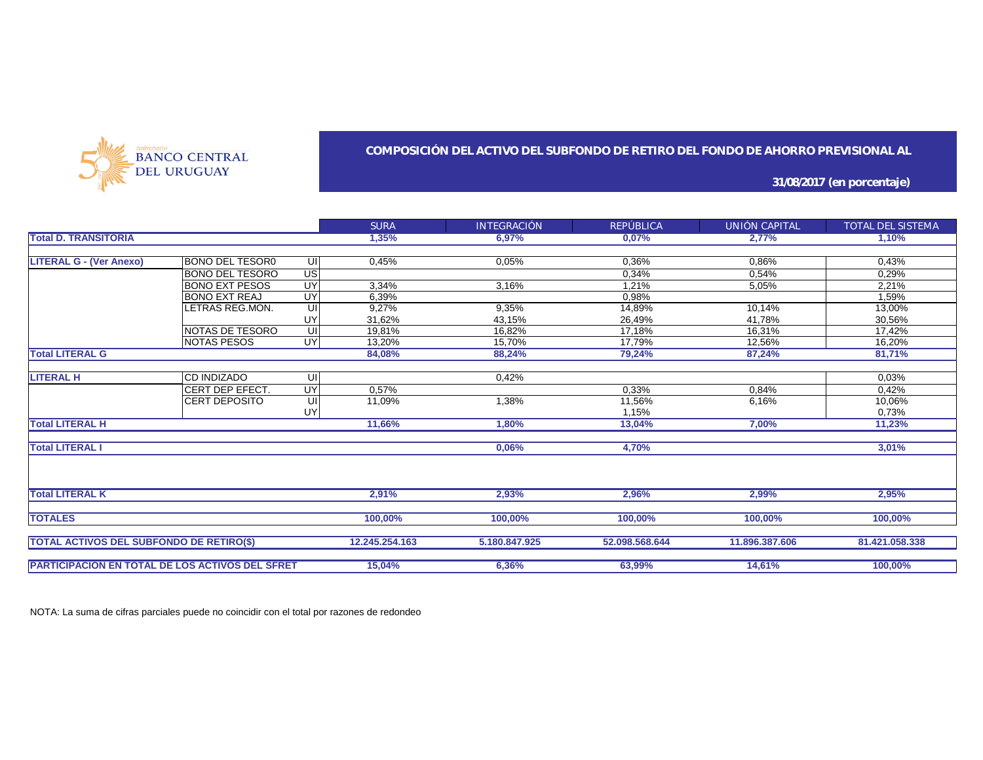

### **COMPOSICIÓN DEL ACTIVO DEL SUBFONDO DE RETIRO DEL FONDO DE AHORRO PREVISIONAL AL**

**31/08/2017 (en porcentaje)**

|                                                        |                        |           | <b>SURA</b>    | <b>INTEGRACIÓN</b> | REPÚBLICA      | UNIÓN CAPITAL  | TOTAL DEL SISTEMA |
|--------------------------------------------------------|------------------------|-----------|----------------|--------------------|----------------|----------------|-------------------|
| <b>Total D. TRANSITORIA</b>                            |                        |           | 1,35%          | 6,97%              | 0,07%          | 2,77%          | 1,10%             |
|                                                        |                        |           |                |                    |                |                |                   |
| <b>LITERAL G - (Ver Anexo)</b>                         | BONO DEL TESOR0        | UI        | 0,45%          | 0,05%              | 0,36%          | 0,86%          | 0,43%             |
|                                                        | <b>BONO DEL TESORO</b> | US        |                |                    | 0,34%          | 0,54%          | 0,29%             |
|                                                        | <b>BONO EXT PESOS</b>  | UY        | 3.34%          | 3,16%              | 1,21%          | 5,05%          | 2,21%             |
|                                                        | <b>BONO EXT REAJ</b>   | UY        | 6,39%          |                    | 0,98%          |                | 1,59%             |
|                                                        | LETRAS REG.MON.        | UI        | 9,27%          | 9,35%              | 14,89%         | 10,14%         | 13,00%            |
|                                                        |                        | UY        | 31,62%         | 43,15%             | 26,49%         | 41,78%         | 30,56%            |
|                                                        | NOTAS DE TESORO        | UI        | 19,81%         | 16,82%             | 17,18%         | 16,31%         | 17,42%            |
|                                                        | <b>NOTAS PESOS</b>     | <b>UY</b> | 13,20%         | 15,70%             | 17,79%         | 12,56%         | 16,20%            |
| <b>Total LITERAL G</b>                                 |                        |           | 84,08%         | 88,24%             | 79,24%         | 87,24%         | 81,71%            |
|                                                        |                        |           |                |                    |                |                |                   |
| <b>LITERAL H</b>                                       | <b>CD INDIZADO</b>     | UI        |                | 0,42%              |                |                | 0.03%             |
|                                                        | CERT DEP EFECT.        | UY        | 0,57%          |                    | 0,33%          | 0,84%          | 0,42%             |
|                                                        | CERT DEPOSITO          | UI        | 11,09%         | 1,38%              | 11,56%         | 6,16%          | 10,06%            |
|                                                        |                        | UY        |                |                    | 1.15%          |                | 0,73%             |
| <b>Total LITERAL H</b>                                 |                        |           | 11,66%         | 1.80%              | 13,04%         | 7.00%          | 11,23%            |
| <b>Total LITERAL I</b>                                 |                        |           |                | 0,06%              | 4,70%          |                | 3,01%             |
|                                                        |                        |           |                |                    |                |                |                   |
| <b>Total LITERAL K</b>                                 |                        |           | 2,91%          | 2,93%              | 2,96%          | 2,99%          | 2,95%             |
|                                                        |                        |           |                |                    |                |                |                   |
| <b>TOTALES</b>                                         |                        |           | 100,00%        | 100,00%            | 100,00%        | 100.00%        | 100.00%           |
|                                                        |                        |           |                |                    |                |                |                   |
| <b>TOTAL ACTIVOS DEL SUBFONDO DE RETIRO(\$)</b>        |                        |           | 12.245.254.163 | 5.180.847.925      | 52.098.568.644 | 11.896.387.606 | 81.421.058.338    |
|                                                        |                        |           | 15,04%         | 6,36%              | 63,99%         | 14,61%         | 100,00%           |
| <b>PARTICIPACIÓN EN TOTAL DE LOS ACTIVOS DEL SFRET</b> |                        |           |                |                    |                |                |                   |